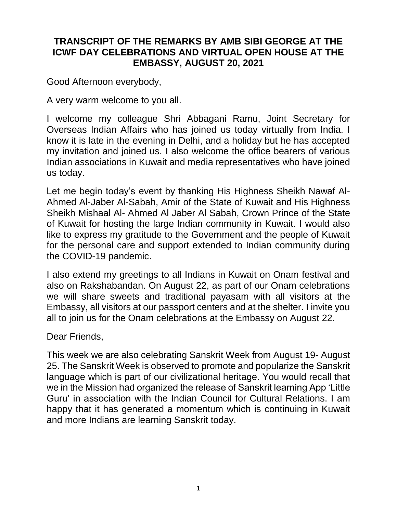## **TRANSCRIPT OF THE REMARKS BY AMB SIBI GEORGE AT THE ICWF DAY CELEBRATIONS AND VIRTUAL OPEN HOUSE AT THE EMBASSY, AUGUST 20, 2021**

Good Afternoon everybody,

A very warm welcome to you all.

I welcome my colleague Shri Abbagani Ramu, Joint Secretary for Overseas Indian Affairs who has joined us today virtually from India. I know it is late in the evening in Delhi, and a holiday but he has accepted my invitation and joined us. I also welcome the office bearers of various Indian associations in Kuwait and media representatives who have joined us today.

Let me begin today's event by thanking His Highness Sheikh Nawaf Al-Ahmed Al-Jaber Al-Sabah, Amir of the State of Kuwait and His Highness Sheikh Mishaal Al- Ahmed Al Jaber Al Sabah, Crown Prince of the State of Kuwait for hosting the large Indian community in Kuwait. I would also like to express my gratitude to the Government and the people of Kuwait for the personal care and support extended to Indian community during the COVID-19 pandemic.

I also extend my greetings to all Indians in Kuwait on Onam festival and also on Rakshabandan. On August 22, as part of our Onam celebrations we will share sweets and traditional payasam with all visitors at the Embassy, all visitors at our passport centers and at the shelter. I invite you all to join us for the Onam celebrations at the Embassy on August 22.

Dear Friends,

This week we are also celebrating Sanskrit Week from August 19- August 25. The Sanskrit Week is observed to promote and popularize the Sanskrit language which is part of our civilizational heritage. You would recall that we in the Mission had organized the release of Sanskrit learning App 'Little Guru' in association with the Indian Council for Cultural Relations. I am happy that it has generated a momentum which is continuing in Kuwait and more Indians are learning Sanskrit today.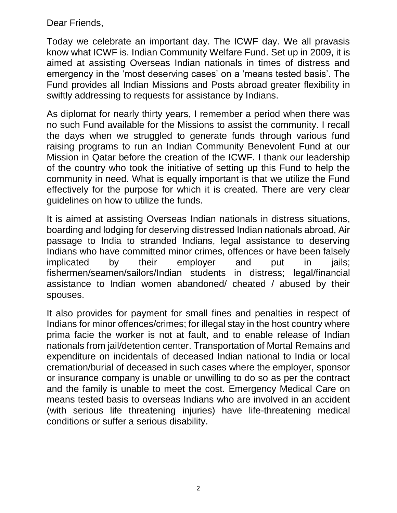Dear Friends,

Today we celebrate an important day. The ICWF day. We all pravasis know what ICWF is. Indian Community Welfare Fund. Set up in 2009, it is aimed at assisting Overseas Indian nationals in times of distress and emergency in the 'most deserving cases' on a 'means tested basis'. The Fund provides all Indian Missions and Posts abroad greater flexibility in swiftly addressing to requests for assistance by Indians.

As diplomat for nearly thirty years, I remember a period when there was no such Fund available for the Missions to assist the community. I recall the days when we struggled to generate funds through various fund raising programs to run an Indian Community Benevolent Fund at our Mission in Qatar before the creation of the ICWF. I thank our leadership of the country who took the initiative of setting up this Fund to help the community in need. What is equally important is that we utilize the Fund effectively for the purpose for which it is created. There are very clear guidelines on how to utilize the funds.

It is aimed at assisting Overseas Indian nationals in distress situations, boarding and lodging for deserving distressed Indian nationals abroad, Air passage to India to stranded Indians, legal assistance to deserving Indians who have committed minor crimes, offences or have been falsely implicated by their employer and put in jails; fishermen/seamen/sailors/Indian students in distress; legal/financial assistance to Indian women abandoned/ cheated / abused by their spouses.

It also provides for payment for small fines and penalties in respect of Indians for minor offences/crimes; for illegal stay in the host country where prima facie the worker is not at fault, and to enable release of Indian nationals from jail/detention center. Transportation of Mortal Remains and expenditure on incidentals of deceased Indian national to India or local cremation/burial of deceased in such cases where the employer, sponsor or insurance company is unable or unwilling to do so as per the contract and the family is unable to meet the cost. Emergency Medical Care on means tested basis to overseas Indians who are involved in an accident (with serious life threatening injuries) have life-threatening medical conditions or suffer a serious disability.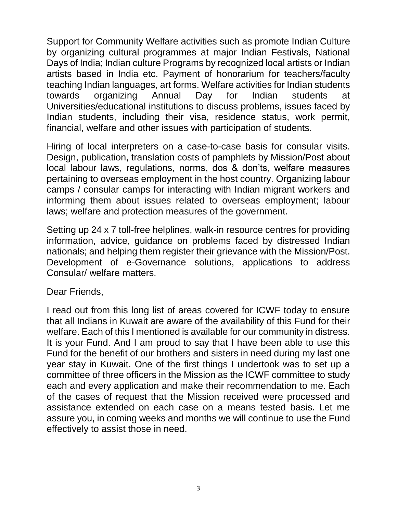Support for Community Welfare activities such as promote Indian Culture by organizing cultural programmes at major Indian Festivals, National Days of India; Indian culture Programs by recognized local artists or Indian artists based in India etc. Payment of honorarium for teachers/faculty teaching Indian languages, art forms. Welfare activities for Indian students towards organizing Annual Day for Indian students at Universities/educational institutions to discuss problems, issues faced by Indian students, including their visa, residence status, work permit, financial, welfare and other issues with participation of students.

Hiring of local interpreters on a case-to-case basis for consular visits. Design, publication, translation costs of pamphlets by Mission/Post about local labour laws, regulations, norms, dos & don'ts, welfare measures pertaining to overseas employment in the host country. Organizing labour camps / consular camps for interacting with Indian migrant workers and informing them about issues related to overseas employment; labour laws; welfare and protection measures of the government.

Setting up 24 x 7 toll-free helplines, walk-in resource centres for providing information, advice, guidance on problems faced by distressed Indian nationals; and helping them register their grievance with the Mission/Post. Development of e-Governance solutions, applications to address Consular/ welfare matters.

## Dear Friends,

I read out from this long list of areas covered for ICWF today to ensure that all Indians in Kuwait are aware of the availability of this Fund for their welfare. Each of this I mentioned is available for our community in distress. It is your Fund. And I am proud to say that I have been able to use this Fund for the benefit of our brothers and sisters in need during my last one year stay in Kuwait. One of the first things I undertook was to set up a committee of three officers in the Mission as the ICWF committee to study each and every application and make their recommendation to me. Each of the cases of request that the Mission received were processed and assistance extended on each case on a means tested basis. Let me assure you, in coming weeks and months we will continue to use the Fund effectively to assist those in need.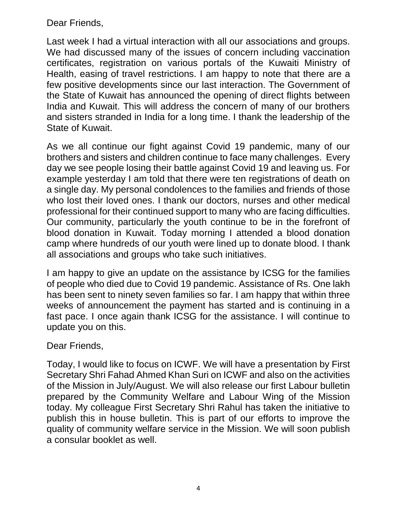Dear Friends,

Last week I had a virtual interaction with all our associations and groups. We had discussed many of the issues of concern including vaccination certificates, registration on various portals of the Kuwaiti Ministry of Health, easing of travel restrictions. I am happy to note that there are a few positive developments since our last interaction. The Government of the State of Kuwait has announced the opening of direct flights between India and Kuwait. This will address the concern of many of our brothers and sisters stranded in India for a long time. I thank the leadership of the State of Kuwait.

As we all continue our fight against Covid 19 pandemic, many of our brothers and sisters and children continue to face many challenges. Every day we see people losing their battle against Covid 19 and leaving us. For example yesterday I am told that there were ten registrations of death on a single day. My personal condolences to the families and friends of those who lost their loved ones. I thank our doctors, nurses and other medical professional for their continued support to many who are facing difficulties. Our community, particularly the youth continue to be in the forefront of blood donation in Kuwait. Today morning I attended a blood donation camp where hundreds of our youth were lined up to donate blood. I thank all associations and groups who take such initiatives.

I am happy to give an update on the assistance by ICSG for the families of people who died due to Covid 19 pandemic. Assistance of Rs. One lakh has been sent to ninety seven families so far. I am happy that within three weeks of announcement the payment has started and is continuing in a fast pace. I once again thank ICSG for the assistance. I will continue to update you on this.

## Dear Friends,

Today, I would like to focus on ICWF. We will have a presentation by First Secretary Shri Fahad Ahmed Khan Suri on ICWF and also on the activities of the Mission in July/August. We will also release our first Labour bulletin prepared by the Community Welfare and Labour Wing of the Mission today. My colleague First Secretary Shri Rahul has taken the initiative to publish this in house bulletin. This is part of our efforts to improve the quality of community welfare service in the Mission. We will soon publish a consular booklet as well.